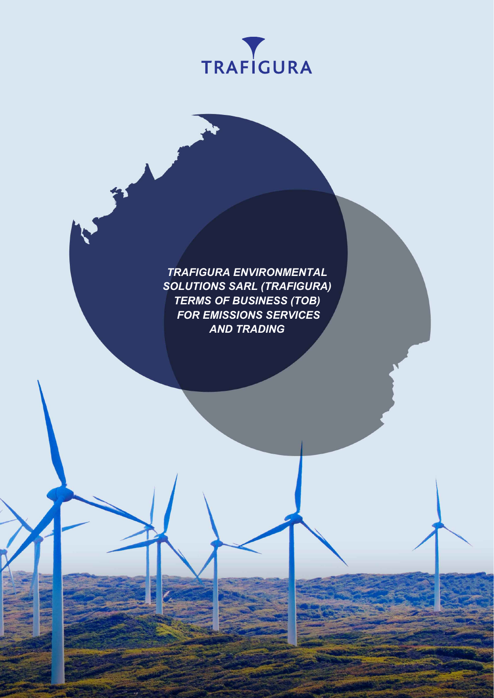

*TRAFIGURA ENVIRONMENTAL SOLUTIONS SARL (TRAFIGURA) TERMS OF BUSINESS (TOB) FOR EMISSIONS SERVICES AND TRADING*

 $\overline{\phantom{0}}$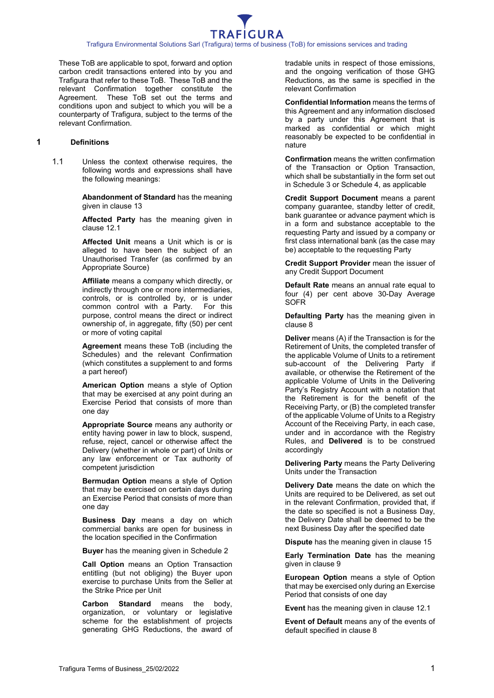These ToB are applicable to spot, forward and option carbon credit transactions entered into by you and Trafigura that refer to these ToB. These ToB and the relevant Confirmation together constitute the Agreement. These ToB set out the terms and conditions upon and subject to which you will be a counterparty of Trafigura, subject to the terms of the relevant Confirmation.

#### **1 Definitions**

1.1 Unless the context otherwise requires, the following words and expressions shall have the following meanings:

> **Abandonment of Standard** has the meaning given in clause [13](#page-8-0)

**Affected Party** has the meaning given in clause [12.1](#page-8-1)

**Affected Unit** means a Unit which is or is alleged to have been the subject of an Unauthorised Transfer (as confirmed by an Appropriate Source)

**Affiliate** means a company which directly, or indirectly through one or more intermediaries, controls, or is controlled by, or is under common control with a Party. For this purpose, control means the direct or indirect ownership of, in aggregate, fifty (50) per cent or more of voting capital

**Agreement** means these ToB (including the Schedules) and the relevant Confirmation (which constitutes a supplement to and forms a part hereof)

**American Option** means a style of Option that may be exercised at any point during an Exercise Period that consists of more than one day

**Appropriate Source** means any authority or entity having power in law to block, suspend, refuse, reject, cancel or otherwise affect the Delivery (whether in whole or part) of Units or any law enforcement or Tax authority of competent jurisdiction

**Bermudan Option** means a style of Option that may be exercised on certain days during an Exercise Period that consists of more than one day

**Business Day** means a day on which commercial banks are open for business in the location specified in the Confirmation

**Buyer** has the meaning given in [Schedule](#page-14-0) 2

**Call Option** means an Option Transaction entitling (but not obliging) the Buyer upon exercise to purchase Units from the Seller at the Strike Price per Unit

**Carbon Standard** means the body, organization, or voluntary or legislative scheme for the establishment of projects generating GHG Reductions, the award of tradable units in respect of those emissions, and the ongoing verification of those GHG Reductions, as the same is specified in the relevant Confirmation

**Confidential Information** means the terms of this Agreement and any information disclosed by a party under this Agreement that is marked as confidential or which might reasonably be expected to be confidential in nature

**Confirmation** means the written confirmation of the Transaction or Option Transaction, which shall be substantially in the form set out in [Schedule](#page-15-0) 3 or [Schedule](#page-17-0) 4, as applicable

**Credit Support Document** means a parent company guarantee, standby letter of credit, bank guarantee or advance payment which is in a form and substance acceptable to the requesting Party and issued by a company or first class international bank (as the case may be) acceptable to the requesting Party

**Credit Support Provider** mean the issuer of any Credit Support Document

**Default Rate** means an annual rate equal to four (4) per cent above 30-Day Average **SOFR** 

**Defaulting Party** has the meaning given in clause [8](#page-7-0)

**Deliver** means (A) if the Transaction is for the Retirement of Units, the completed transfer of the applicable Volume of Units to a retirement sub-account of the Delivering Party if available, or otherwise the Retirement of the applicable Volume of Units in the Delivering Party's Registry Account with a notation that the Retirement is for the benefit of the Receiving Party, or (B) the completed transfer of the applicable Volume of Units to a Registry Account of the Receiving Party, in each case, under and in accordance with the Registry Rules, and **Delivered** is to be construed accordingly

**Delivering Party** means the Party Delivering Units under the Transaction

**Delivery Date** means the date on which the Units are required to be Delivered, as set out in the relevant Confirmation, provided that, if the date so specified is not a Business Day, the Delivery Date shall be deemed to be the next Business Day after the specified date

**Dispute** has the meaning given in clause [15](#page-9-0)

**Early Termination Date** has the meaning given in clause [9](#page-7-1)

**European Option** means a style of Option that may be exercised only during an Exercise Period that consists of one day

**Event** has the meaning given in clause [12.1](#page-8-1)

**Event of Default** means any of the events of default specified in clause [8](#page-7-0)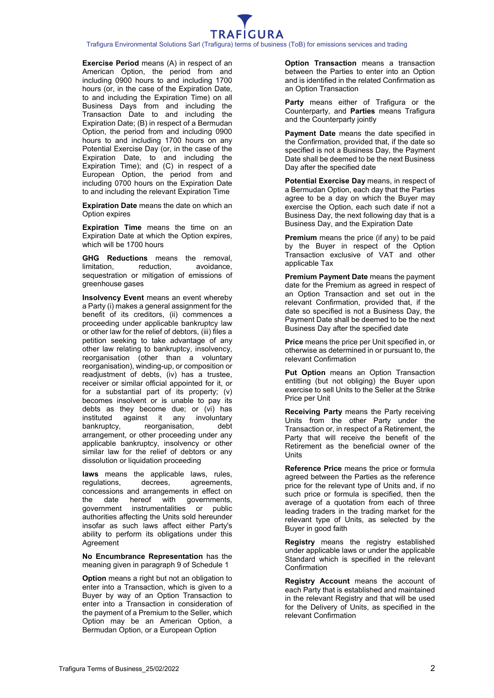

**Exercise Period** means (A) in respect of an American Option, the period from and including 0900 hours to and including 1700 hours (or, in the case of the Expiration Date, to and including the Expiration Time) on all Business Days from and including the Transaction Date to and including the Expiration Date; (B) in respect of a Bermudan Option, the period from and including 0900 hours to and including 1700 hours on any Potential Exercise Day (or, in the case of the Expiration Date, to and including the Expiration Time); and (C) in respect of a European Option, the period from and including 0700 hours on the Expiration Date to and including the relevant Expiration Time

**Expiration Date** means the date on which an Option expires

**Expiration Time** means the time on an Expiration Date at which the Option expires, which will be 1700 hours

**GHG Reductions** means the removal, limitation, reduction, avoidance, avoidance, sequestration or mitigation of emissions of greenhouse gases

**Insolvency Event** means an event whereby a Party (i) makes a general assignment for the benefit of its creditors, (ii) commences a proceeding under applicable bankruptcy law or other law for the relief of debtors, (iii) files a petition seeking to take advantage of any other law relating to bankruptcy, insolvency, reorganisation (other than a voluntary reorganisation), winding-up, or composition or readjustment of debts, (iv) has a trustee, receiver or similar official appointed for it, or for a substantial part of its property; (v) becomes insolvent or is unable to pay its debts as they become due; or (vi) has<br>instituted against it any involuntary instituted against it any involuntary<br>bankruptcy, reorganisation, debt reorganisation, debt arrangement, or other proceeding under any applicable bankruptcy, insolvency or other similar law for the relief of debtors or any dissolution or liquidation proceeding

**laws** means the applicable laws, rules, regulations, decrees, agreements, regulations, decrees, agreements, concessions and arrangements in effect on the date hereof with governments, government instrumentalities or public authorities affecting the Units sold hereunder insofar as such laws affect either Party's ability to perform its obligations under this Agreement

**No Encumbrance Representation** has the meaning given in paragraph 9 of [Schedule](#page-12-0) 1

**Option** means a right but not an obligation to enter into a Transaction, which is given to a Buyer by way of an Option Transaction to enter into a Transaction in consideration of the payment of a Premium to the Seller, which Option may be an American Option, a Bermudan Option, or a European Option

**Option Transaction** means a transaction between the Parties to enter into an Option and is identified in the related Confirmation as an Option Transaction

**Party** means either of Trafigura or the Counterparty, and **Parties** means Trafigura and the Counterparty jointly

**Payment Date** means the date specified in the Confirmation, provided that, if the date so specified is not a Business Day, the Payment Date shall be deemed to be the next Business Day after the specified date

**Potential Exercise Day** means, in respect of a Bermudan Option, each day that the Parties agree to be a day on which the Buyer may exercise the Option, each such date if not a Business Day, the next following day that is a Business Day, and the Expiration Date

**Premium** means the price (if any) to be paid by the Buyer in respect of the Option Transaction exclusive of VAT and other applicable Tax

**Premium Payment Date** means the payment date for the Premium as agreed in respect of an Option Transaction and set out in the relevant Confirmation, provided that, if the date so specified is not a Business Day, the Payment Date shall be deemed to be the next Business Day after the specified date

**Price** means the price per Unit specified in, or otherwise as determined in or pursuant to, the relevant Confirmation

**Put Option** means an Option Transaction entitling (but not obliging) the Buyer upon exercise to sell Units to the Seller at the Strike Price per Unit

**Receiving Party** means the Party receiving Units from the other Party under the Transaction or, in respect of a Retirement, the Party that will receive the benefit of the Retirement as the beneficial owner of the **Unite** 

**Reference Price** means the price or formula agreed between the Parties as the reference price for the relevant type of Units and, if no such price or formula is specified, then the average of a quotation from each of three leading traders in the trading market for the relevant type of Units, as selected by the Buyer in good faith

**Registry** means the registry established under applicable laws or under the applicable Standard which is specified in the relevant Confirmation

**Registry Account** means the account of each Party that is established and maintained in the relevant Registry and that will be used for the Delivery of Units, as specified in the relevant Confirmation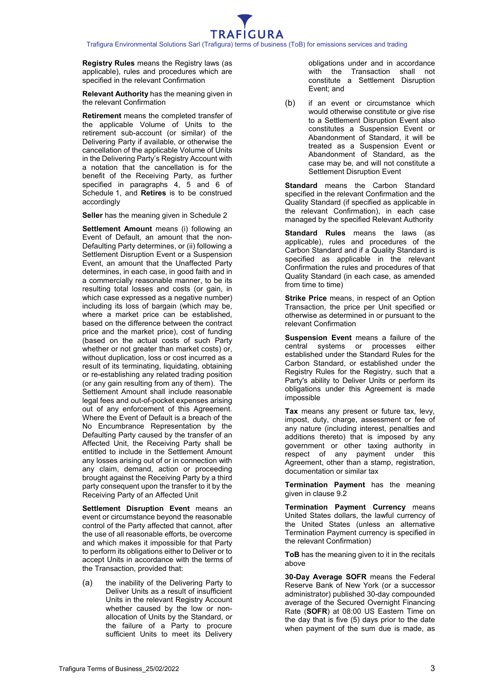**Registry Rules** means the Registry laws (as applicable), rules and procedures which are specified in the relevant Confirmation

**Relevant Authority** has the meaning given in the relevant Confirmation

**Retirement** means the completed transfer of the applicable Volume of Units to the retirement sub-account (or similar) of the Delivering Party if available, or otherwise the cancellation of the applicable Volume of Units in the Delivering Party's Registry Account with a notation that the cancellation is for the benefit of the Receiving Party, as further specified in paragraphs 4, 5 and 6 of [Schedule](#page-12-0) 1, and **Retires** is to be construed accordingly

**Seller** has the meaning given in [Schedule](#page-14-0) 2

**Settlement Amount** means (i) following an Event of Default, an amount that the non-Defaulting Party determines, or (ii) following a Settlement Disruption Event or a Suspension Event, an amount that the Unaffected Party determines, in each case, in good faith and in a commercially reasonable manner, to be its resulting total losses and costs (or gain, in which case expressed as a negative number) including its loss of bargain (which may be, where a market price can be established. based on the difference between the contract price and the market price), cost of funding (based on the actual costs of such Party whether or not greater than market costs) or, without duplication, loss or cost incurred as a result of its terminating, liquidating, obtaining or re-establishing any related trading position (or any gain resulting from any of them). The Settlement Amount shall include reasonable legal fees and out-of-pocket expenses arising out of any enforcement of this Agreement. Where the Event of Default is a breach of the No Encumbrance Representation by the Defaulting Party caused by the transfer of an Affected Unit, the Receiving Party shall be entitled to include in the Settlement Amount any losses arising out of or in connection with any claim, demand, action or proceeding brought against the Receiving Party by a third party consequent upon the transfer to it by the Receiving Party of an Affected Unit

**Settlement Disruption Event** means an event or circumstance beyond the reasonable control of the Party affected that cannot, after the use of all reasonable efforts, be overcome and which makes it impossible for that Party to perform its obligations either to Deliver or to accept Units in accordance with the terms of the Transaction, provided that:

(a) the inability of the Delivering Party to Deliver Units as a result of insufficient Units in the relevant Registry Account whether caused by the low or nonallocation of Units by the Standard, or the failure of a Party to procure sufficient Units to meet its Delivery obligations under and in accordance with the Transaction shall not constitute a Settlement Disruption Event; and

(b) if an event or circumstance which would otherwise constitute or give rise to a Settlement Disruption Event also constitutes a Suspension Event or Abandonment of Standard, it will be treated as a Suspension Event or Abandonment of Standard, as the case may be, and will not constitute a Settlement Disruption Event

**Standard** means the Carbon Standard specified in the relevant Confirmation and the Quality Standard (if specified as applicable in the relevant Confirmation), in each case managed by the specified Relevant Authority

**Standard Rules** means the laws (as applicable), rules and procedures of the Carbon Standard and if a Quality Standard is specified as applicable in the relevant Confirmation the rules and procedures of that Quality Standard (in each case, as amended from time to time)

**Strike Price** means, in respect of an Option Transaction, the price per Unit specified or otherwise as determined in or pursuant to the relevant Confirmation

**Suspension Event** means a failure of the central systems or processes either established under the Standard Rules for the Carbon Standard, or established under the Registry Rules for the Registry, such that a Party's ability to Deliver Units or perform its obligations under this Agreement is made impossible

**Tax** means any present or future tax, levy, impost, duty, charge, assessment or fee of any nature (including interest, penalties and additions thereto) that is imposed by any government or other taxing authority in respect of any payment under this Agreement, other than a stamp, registration, documentation or similar tax

**Termination Payment** has the meaning given in clause [9.2](#page-7-2)

**Termination Payment Currency** means United States dollars, the lawful currency of the United States (unless an alternative Termination Payment currency is specified in the relevant Confirmation)

**ToB** has the meaning given to it in the recitals above

**30-Day Average SOFR** means the Federal Reserve Bank of New York (or a successor administrator) published 30-day compounded average of the Secured Overnight Financing Rate (**SOFR**) at 08:00 US Eastern Time on the day that is five (5) days prior to the date when payment of the sum due is made, as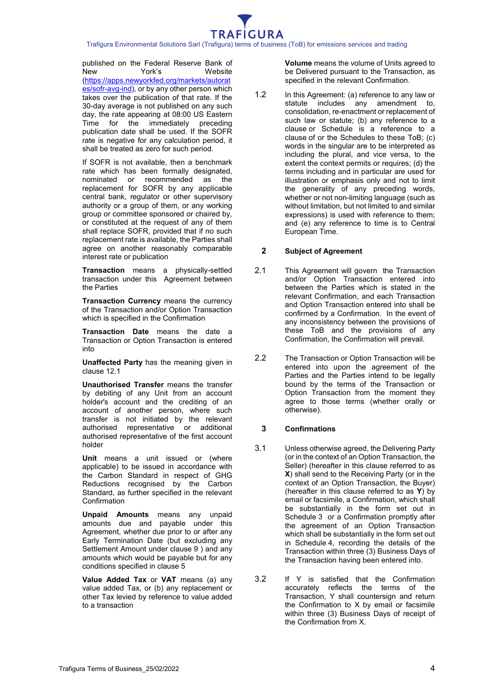

published on the Federal Reserve Bank of<br>New York's Website New York's Website [\(https://apps.newyorkfed.org/markets/autorat](https://apps.newyorkfed.org/markets/autorates/sofr-avg-ind) [es/sofr-avg-ind\)](https://apps.newyorkfed.org/markets/autorates/sofr-avg-ind), or by any other person which takes over the publication of that rate. If the 30-day average is not published on any such day, the rate appearing at 08:00 US Eastern Time for the immediately preceding publication date shall be used. If the SOFR rate is negative for any calculation period, it shall be treated as zero for such period.

If SOFR is not available, then a benchmark rate which has been formally designated, nominated or recommended as the replacement for SOFR by any applicable central bank, regulator or other supervisory authority or a group of them, or any working group or committee sponsored or chaired by, or constituted at the request of any of them shall replace SOFR, provided that if no such replacement rate is available, the Parties shall agree on another reasonably comparable interest rate or publication

**Transaction** means a physically-settled transaction under this Agreement between the Parties

**Transaction Currency** means the currency of the Transaction and/or Option Transaction which is specified in the Confirmation

**Transaction Date** means the date a Transaction or Option Transaction is entered into

**Unaffected Party** has the meaning given in clause [12.1](#page-8-1)

**Unauthorised Transfer** means the transfer by debiting of any Unit from an account holder's account and the crediting of an account of another person, where such transfer is not initiated by the relevant authorised representative or additional authorised representative of the first account holder

**Unit** means a unit issued or (where applicable) to be issued in accordance with the Carbon Standard in respect of GHG Reductions recognised by the Carbon Standard, as further specified in the relevant **Confirmation** 

**Unpaid Amounts** means any unpaid amounts due and payable under this Agreement, whether due prior to or after any Early Termination Date (but excluding any Settlement Amount under clause [9](#page-7-1) ) and any amounts which would be payable but for any conditions specified in clause [5](#page-6-0)

**Value Added Tax** or **VAT** means (a) any value added Tax, or (b) any replacement or other Tax levied by reference to value added to a transaction

**Volume** means the volume of Units agreed to be Delivered pursuant to the Transaction, as specified in the relevant Confirmation.

1.2 In this Agreement: (a) reference to any law or statute includes any amendment to, consolidation, re-enactment or replacement of such law or statute; (b) any reference to a clause or Schedule is a reference to a clause of or the Schedules to these ToB; (c) words in the singular are to be interpreted as including the plural, and vice versa, to the extent the context permits or requires; (d) the terms including and in particular are used for illustration or emphasis only and not to limit the generality of any preceding words, whether or not non-limiting language (such as without limitation, but not limited to and similar expressions) is used with reference to them; and (e) any reference to time is to Central European Time.

# **2 Subject of Agreement**

- 2.1 This Agreement will govern the Transaction and/or Option Transaction entered into between the Parties which is stated in the relevant Confirmation, and each Transaction and Option Transaction entered into shall be confirmed by a Confirmation. In the event of any inconsistency between the provisions of these ToB and the provisions of any Confirmation, the Confirmation will prevail.
- 2.2 The Transaction or Option Transaction will be entered into upon the agreement of the Parties and the Parties intend to be legally bound by the terms of the Transaction or Option Transaction from the moment they agree to those terms (whether orally or otherwise).

# **3 Confirmations**

- <span id="page-4-0"></span>3.1 Unless otherwise agreed, the Delivering Party (or in the context of an Option Transaction, the Seller) (hereafter in this clause referred to as **X**) shall send to the Receiving Party (or in the context of an Option Transaction, the Buyer) (hereafter in this clause referred to as **Y**) by email or facsimile, a Confirmation, which shall be substantially in the form set out in [Schedule](#page-15-0) 3 or a Confirmation promptly after the agreement of an Option Transaction which shall be substantially in the form set out in [Schedule](#page-17-0) 4, recording the details of the Transaction within three (3) Business Days of the Transaction having been entered into.
- <span id="page-4-1"></span>3.2 If Y is satisfied that the Confirmation accurately reflects the terms of the Transaction, Y shall countersign and return the Confirmation to X by email or facsimile within three (3) Business Days of receipt of the Confirmation from X.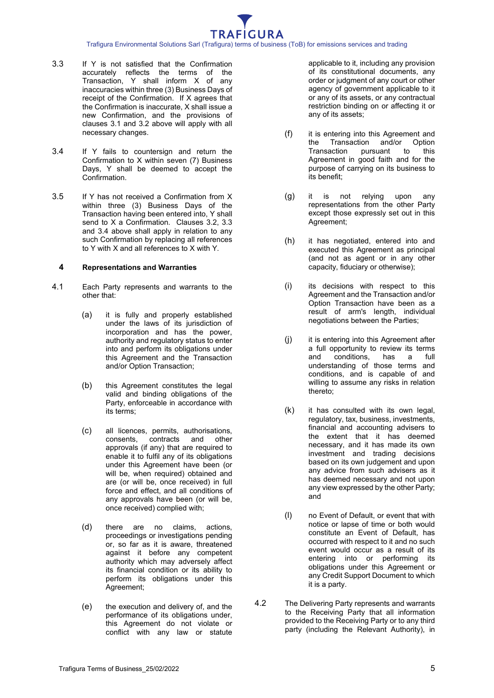- <span id="page-5-0"></span>3.3 If Y is not satisfied that the Confirmation accurately reflects the terms of the Transaction, Y shall inform X of any inaccuracies within three (3) Business Days of receipt of the Confirmation. If X agrees that the Confirmation is inaccurate, X shall issue a new Confirmation, and the provisions of clauses [3.1](#page-4-0) and [3.2](#page-4-1) above will apply with all necessary changes.
- <span id="page-5-1"></span>3.4 If Y fails to countersign and return the Confirmation to X within seven (7) Business Days, Y shall be deemed to accept the Confirmation.
- 3.5 If Y has not received a Confirmation from X within three (3) Business Days of the Transaction having been entered into, Y shall send to X a Confirmation. Clauses [3.2,](#page-4-1) [3.3](#page-5-0) and [3.4](#page-5-1) above shall apply in relation to any such Confirmation by replacing all references to Y with X and all references to X with Y.

#### **4 Representations and Warranties**

- 4.1 Each Party represents and warrants to the other that:
	- (a) it is fully and properly established under the laws of its jurisdiction of incorporation and has the power, authority and regulatory status to enter into and perform its obligations under this Agreement and the Transaction and/or Option Transaction;
	- (b) this Agreement constitutes the legal valid and binding obligations of the Party, enforceable in accordance with its terms;
	- (c) all licences, permits, authorisations, contracts and approvals (if any) that are required to enable it to fulfil any of its obligations under this Agreement have been (or will be, when required) obtained and are (or will be, once received) in full force and effect, and all conditions of any approvals have been (or will be, once received) complied with;
	- (d) there are no claims, actions, proceedings or investigations pending or, so far as it is aware, threatened against it before any competent authority which may adversely affect its financial condition or its ability to perform its obligations under this Agreement;
	- (e) the execution and delivery of, and the performance of its obligations under, this Agreement do not violate or conflict with any law or statute

applicable to it, including any provision of its constitutional documents, any order or judgment of any court or other agency of government applicable to it or any of its assets, or any contractual restriction binding on or affecting it or any of its assets;

- (f) it is entering into this Agreement and the Transaction and/or Option<br>Transaction pursuant to this pursuant Agreement in good faith and for the purpose of carrying on its business to its benefit;
- (g) it is not relying upon any representations from the other Party except those expressly set out in this Agreement;
- (h) it has negotiated, entered into and executed this Agreement as principal (and not as agent or in any other capacity, fiduciary or otherwise);
- (i) its decisions with respect to this Agreement and the Transaction and/or Option Transaction have been as a result of arm's length, individual negotiations between the Parties;
- (j) it is entering into this Agreement after a full opportunity to review its terms<br>and conditions, has a full conditions, understanding of those terms and conditions, and is capable of and willing to assume any risks in relation thereto;
- (k) it has consulted with its own legal, regulatory, tax, business, investments, financial and accounting advisers to the extent that it has deemed necessary, and it has made its own investment and trading decisions based on its own judgement and upon any advice from such advisers as it has deemed necessary and not upon any view expressed by the other Party; and
- (l) no Event of Default, or event that with notice or lapse of time or both would constitute an Event of Default, has occurred with respect to it and no such event would occur as a result of its entering into or performing its obligations under this Agreement or any Credit Support Document to which it is a party.
- 4.2 The Delivering Party represents and warrants to the Receiving Party that all information provided to the Receiving Party or to any third party (including the Relevant Authority), in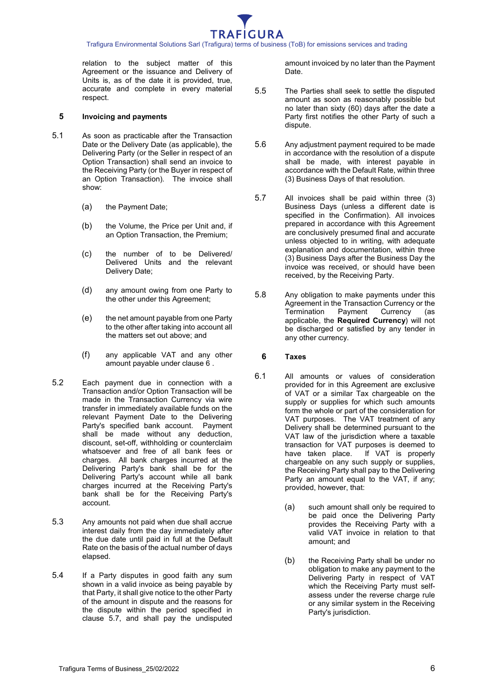

relation to the subject matter of this Agreement or the issuance and Delivery of Units is, as of the date it is provided, true, accurate and complete in every material respect.

#### <span id="page-6-0"></span>**5 Invoicing and payments**

- 5.1 As soon as practicable after the Transaction Date or the Delivery Date (as applicable), the Delivering Party (or the Seller in respect of an Option Transaction) shall send an invoice to the Receiving Party (or the Buyer in respect of an Option Transaction). The invoice shall show:
	- (a) the Payment Date;
	- (b) the Volume, the Price per Unit and, if an Option Transaction, the Premium;
	- (c) the number of to be Delivered/ Delivered Units and the relevant Delivery Date;
	- (d) any amount owing from one Party to the other under this Agreement;
	- (e) the net amount payable from one Party to the other after taking into account all the matters set out above; and
	- (f) any applicable VAT and any other amount payable under clause [6](#page-6-1) .
- 5.2 Each payment due in connection with a Transaction and/or Option Transaction will be made in the Transaction Currency via wire transfer in immediately available funds on the relevant Payment Date to the Delivering Party's specified bank account. Payment shall be made without any deduction, discount, set-off, withholding or counterclaim whatsoever and free of all bank fees or charges. All bank charges incurred at the Delivering Party's bank shall be for the Delivering Party's account while all bank charges incurred at the Receiving Party's bank shall be for the Receiving Party's account.
- 5.3 Any amounts not paid when due shall accrue interest daily from the day immediately after the due date until paid in full at the Default Rate on the basis of the actual number of days elapsed.
- 5.4 If a Party disputes in good faith any sum shown in a valid invoice as being payable by that Party, it shall give notice to the other Party of the amount in dispute and the reasons for the dispute within the period specified in clause [5.7,](#page-6-2) and shall pay the undisputed

amount invoiced by no later than the Payment Date.

- 5.5 The Parties shall seek to settle the disputed amount as soon as reasonably possible but no later than sixty (60) days after the date a Party first notifies the other Party of such a dispute.
- 5.6 Any adjustment payment required to be made in accordance with the resolution of a dispute shall be made, with interest payable in accordance with the Default Rate, within three (3) Business Days of that resolution.
- <span id="page-6-2"></span>5.7 All invoices shall be paid within three (3) Business Days (unless a different date is specified in the Confirmation). All invoices prepared in accordance with this Agreement are conclusively presumed final and accurate unless objected to in writing, with adequate explanation and documentation, within three (3) Business Days after the Business Day the invoice was received, or should have been received, by the Receiving Party.
- 5.8 Any obligation to make payments under this Agreement in the Transaction Currency or the<br>Termination Payment Currency (as **Termination** applicable, the **Required Currency**) will not be discharged or satisfied by any tender in any other currency.

#### <span id="page-6-1"></span>**6 Taxes**

- 6.1 All amounts or values of consideration provided for in this Agreement are exclusive of VAT or a similar Tax chargeable on the supply or supplies for which such amounts form the whole or part of the consideration for VAT purposes. The VAT treatment of any Delivery shall be determined pursuant to the VAT law of the jurisdiction where a taxable transaction for VAT purposes is deemed to have taken place. If VAT is properly chargeable on any such supply or supplies, the Receiving Party shall pay to the Delivering Party an amount equal to the VAT, if any; provided, however, that:
	- (a) such amount shall only be required to be paid once the Delivering Party provides the Receiving Party with a valid VAT invoice in relation to that amount; and
	- (b) the Receiving Party shall be under no obligation to make any payment to the Delivering Party in respect of VAT which the Receiving Party must selfassess under the reverse charge rule or any similar system in the Receiving Party's jurisdiction.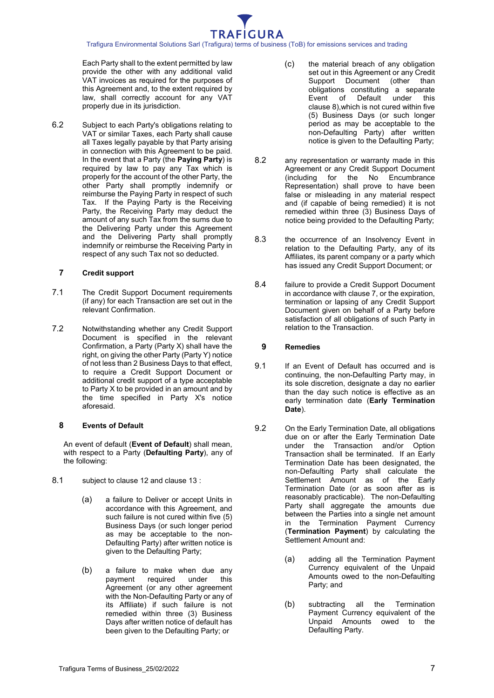Each Party shall to the extent permitted by law provide the other with any additional valid VAT invoices as required for the purposes of this Agreement and, to the extent required by law, shall correctly account for any VAT properly due in its jurisdiction.

6.2 Subject to each Party's obligations relating to VAT or similar Taxes, each Party shall cause all Taxes legally payable by that Party arising in connection with this Agreement to be paid. In the event that a Party (the **Paying Party**) is required by law to pay any Tax which is properly for the account of the other Party, the other Party shall promptly indemnify or reimburse the Paying Party in respect of such Tax. If the Paying Party is the Receiving Party, the Receiving Party may deduct the amount of any such Tax from the sums due to the Delivering Party under this Agreement and the Delivering Party shall promptly indemnify or reimburse the Receiving Party in respect of any such Tax not so deducted.

# <span id="page-7-3"></span>**7 Credit support**

- 7.1 The Credit Support Document requirements (if any) for each Transaction are set out in the relevant Confirmation.
- 7.2 Notwithstanding whether any Credit Support Document is specified in the relevant Confirmation, a Party (Party X) shall have the right, on giving the other Party (Party Y) notice of not less than 2 Business Days to that effect, to require a Credit Support Document or additional credit support of a type acceptable to Party X to be provided in an amount and by the time specified in Party X's notice aforesaid.

# <span id="page-7-0"></span>**8 Events of Default**

An event of default (**Event of Default**) shall mean, with respect to a Party (**Defaulting Party**), any of the following:

- 8.1 subject to clause [12](#page-8-2) and clause [13](#page-8-0) :
	- (a) a failure to Deliver or accept Units in accordance with this Agreement, and such failure is not cured within five (5) Business Days (or such longer period as may be acceptable to the non-Defaulting Party) after written notice is given to the Defaulting Party;
	- (b) a failure to make when due any required Agreement (or any other agreement with the Non-Defaulting Party or any of its Affiliate) if such failure is not remedied within three (3) Business Days after written notice of default has been given to the Defaulting Party; or
- (c) the material breach of any obligation set out in this Agreement or any Credit Support Document (other than obligations constituting a separate Event of Default under this clause [8\)](#page-7-0),which is not cured within five (5) Business Days (or such longer period as may be acceptable to the non-Defaulting Party) after written notice is given to the Defaulting Party;
- 8.2 any representation or warranty made in this Agreement or any Credit Support Document (including for the No Encumbrance Representation) shall prove to have been false or misleading in any material respect and (if capable of being remedied) it is not remedied within three (3) Business Days of notice being provided to the Defaulting Party;
- 8.3 the occurrence of an Insolvency Event in relation to the Defaulting Party, any of its Affiliates, its parent company or a party which has issued any Credit Support Document; or
- 8.4 failure to provide a Credit Support Document in accordance with clause [7,](#page-7-3) or the expiration, termination or lapsing of any Credit Support Document given on behalf of a Party before satisfaction of all obligations of such Party in relation to the Transaction.

# <span id="page-7-1"></span>**9 Remedies**

- 9.1 If an Event of Default has occurred and is continuing, the non-Defaulting Party may, in its sole discretion, designate a day no earlier than the day such notice is effective as an early termination date (**Early Termination Date**).
- <span id="page-7-2"></span>9.2 On the Early Termination Date, all obligations due on or after the Early Termination Date under the Transaction and/or Option Transaction shall be terminated. If an Early Termination Date has been designated, the non-Defaulting Party shall calculate the Settlement Amount as of the Early Termination Date (or as soon after as is reasonably practicable). The non-Defaulting Party shall aggregate the amounts due between the Parties into a single net amount in the Termination Payment Currency (**Termination Payment**) by calculating the Settlement Amount and:
	- (a) adding all the Termination Payment Currency equivalent of the Unpaid Amounts owed to the non-Defaulting Party; and
	- (b) subtracting all the Termination Payment Currency equivalent of the Unpaid Amounts owed to the Defaulting Party.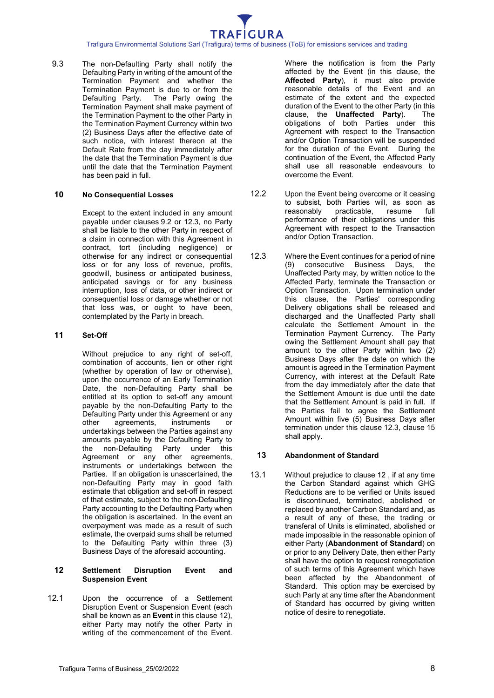Trafigura Environmental Solutions Sarl (Trafigura) terms of business (ToB) for emissions services and trading

9.3 The non-Defaulting Party shall notify the Defaulting Party in writing of the amount of the Termination Payment and whether the Termination Payment is due to or from the<br>Defaulting Party. The Party owing the The Party owing the Termination Payment shall make payment of the Termination Payment to the other Party in the Termination Payment Currency within two (2) Business Days after the effective date of such notice, with interest thereon at the Default Rate from the day immediately after the date that the Termination Payment is due until the date that the Termination Payment has been paid in full.

#### **10 No Consequential Losses**

Except to the extent included in any amount payable under clauses [9.2](#page-7-2) or [12.3,](#page-8-3) no Party shall be liable to the other Party in respect of a claim in connection with this Agreement in contract, tort (including negligence) or otherwise for any indirect or consequential loss or for any loss of revenue, profits, goodwill, business or anticipated business, anticipated savings or for any business interruption, loss of data, or other indirect or consequential loss or damage whether or not that loss was, or ought to have been, contemplated by the Party in breach.

#### **11 Set-Off**

Without prejudice to any right of set-off, combination of accounts, lien or other right (whether by operation of law or otherwise), upon the occurrence of an Early Termination Date, the non-Defaulting Party shall be entitled at its option to set-off any amount payable by the non-Defaulting Party to the Defaulting Party under this Agreement or any<br>other agreements, instruments or other agreements, instruments or undertakings between the Parties against any amounts payable by the Defaulting Party to the non-Defaulting Party under this Agreement or any other agreements, instruments or undertakings between the Parties. If an obligation is unascertained, the non-Defaulting Party may in good faith estimate that obligation and set-off in respect of that estimate, subject to the non-Defaulting Party accounting to the Defaulting Party when the obligation is ascertained. In the event an overpayment was made as a result of such estimate, the overpaid sums shall be returned to the Defaulting Party within three (3) Business Days of the aforesaid accounting.

#### <span id="page-8-2"></span>**12 Settlement Disruption Event and Suspension Event**

<span id="page-8-1"></span>12.1 Upon the occurrence of a Settlement Disruption Event or Suspension Event (each shall be known as an **Event** in this clause [12\)](#page-8-2), either Party may notify the other Party in writing of the commencement of the Event.

Where the notification is from the Party affected by the Event (in this clause, the **Affected Party**), it must also provide reasonable details of the Event and an estimate of the extent and the expected duration of the Event to the other Party (in this clause. the **Unaffected Party**). The clause, the **Unaffected Party**). obligations of both Parties under this Agreement with respect to the Transaction and/or Option Transaction will be suspended for the duration of the Event. During the continuation of the Event, the Affected Party shall use all reasonable endeavours to overcome the Event.

- 12.2 Upon the Event being overcome or it ceasing to subsist, both Parties will, as soon as reasonably practicable, resume full performance of their obligations under this Agreement with respect to the Transaction and/or Option Transaction.
- <span id="page-8-3"></span>12.3 Where the Event continues for a period of nine (9) consecutive Business Days, the Unaffected Party may, by written notice to the Affected Party, terminate the Transaction or Option Transaction. Upon termination under this clause, the Parties' corresponding Delivery obligations shall be released and discharged and the Unaffected Party shall calculate the Settlement Amount in the Termination Payment Currency. The Party owing the Settlement Amount shall pay that amount to the other Party within two (2) Business Days after the date on which the amount is agreed in the Termination Payment Currency, with interest at the Default Rate from the day immediately after the date that the Settlement Amount is due until the date that the Settlement Amount is paid in full. If the Parties fail to agree the Settlement Amount within five  $(5)$  Business Days after termination under this clause [12.3,](#page-8-3) clause [15](#page-9-0)  shall apply.

#### <span id="page-8-0"></span>**13 Abandonment of Standard**

<span id="page-8-4"></span>13.1 Without prejudice to clause [12](#page-8-2) , if at any time the Carbon Standard against which GHG Reductions are to be verified or Units issued is discontinued, terminated, abolished or replaced by another Carbon Standard and, as a result of any of these, the trading or transferal of Units is eliminated, abolished or made impossible in the reasonable opinion of either Party (**Abandonment of Standard**) on or prior to any Delivery Date, then either Party shall have the option to request renegotiation of such terms of this Agreement which have been affected by the Abandonment of Standard. This option may be exercised by such Party at any time after the Abandonment of Standard has occurred by giving written notice of desire to renegotiate.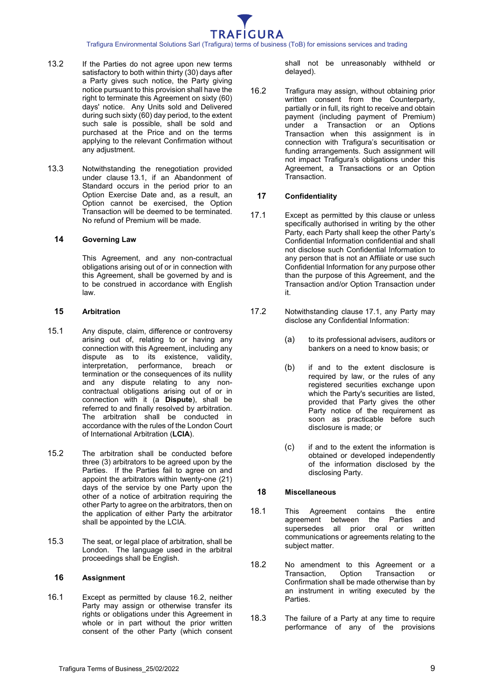Trafigura Environmental Solutions Sarl (Trafigura) terms of business (ToB) for emissions services and trading

- 13.2 If the Parties do not agree upon new terms satisfactory to both within thirty (30) days after a Party gives such notice, the Party giving notice pursuant to this provision shall have the right to terminate this Agreement on sixty (60) days' notice. Any Units sold and Delivered during such sixty (60) day period, to the extent such sale is possible, shall be sold and purchased at the Price and on the terms applying to the relevant Confirmation without any adjustment.
- 13.3 Notwithstanding the renegotiation provided under clause [13.1,](#page-8-4) if an Abandonment of Standard occurs in the period prior to an Option Exercise Date and, as a result, an Option cannot be exercised, the Option Transaction will be deemed to be terminated. No refund of Premium will be made.

#### **14 Governing Law**

This Agreement, and any non-contractual obligations arising out of or in connection with this Agreement, shall be governed by and is to be construed in accordance with English law.

#### <span id="page-9-0"></span>**15 Arbitration**

- 15.1 Any dispute, claim, difference or controversy arising out of, relating to or having any connection with this Agreement, including any dispute as to its existence, validity, interpretation, performance, breach or termination or the consequences of its nullity and any dispute relating to any noncontractual obligations arising out of or in connection with it (a **Dispute**), shall be referred to and finally resolved by arbitration. The arbitration shall be conducted in accordance with the rules of the London Court of International Arbitration (**LCIA**).
- 15.2 The arbitration shall be conducted before three (3) arbitrators to be agreed upon by the Parties. If the Parties fail to agree on and appoint the arbitrators within twenty-one (21) days of the service by one Party upon the other of a notice of arbitration requiring the other Party to agree on the arbitrators, then on the application of either Party the arbitrator shall be appointed by the LCIA.
- 15.3 The seat, or legal place of arbitration, shall be London. The language used in the arbitral proceedings shall be English.

#### **16 Assignment**

16.1 Except as permitted by clause [16.2,](#page-9-1) neither Party may assign or otherwise transfer its rights or obligations under this Agreement in whole or in part without the prior written consent of the other Party (which consent shall not be unreasonably withheld or delayed).

<span id="page-9-1"></span>16.2 Trafigura may assign, without obtaining prior written consent from the Counterparty, partially or in full, its right to receive and obtain payment (including payment of Premium) under a Transaction or an Options Transaction when this assignment is in connection with Trafigura's securitisation or funding arrangements. Such assignment will not impact Trafigura's obligations under this Agreement, a Transactions or an Option Transaction.

#### **17 Confidentiality**

- <span id="page-9-2"></span>17.1 Except as permitted by this clause or unless specifically authorised in writing by the other Party, each Party shall keep the other Party's Confidential Information confidential and shall not disclose such Confidential Information to any person that is not an Affiliate or use such Confidential Information for any purpose other than the purpose of this Agreement, and the Transaction and/or Option Transaction under it.
- 17.2 Notwithstanding clause [17.1,](#page-9-2) any Party may disclose any Confidential Information:
	- (a) to its professional advisers, auditors or bankers on a need to know basis; or
	- (b) if and to the extent disclosure is required by law, or the rules of any registered securities exchange upon which the Party's securities are listed, provided that Party gives the other Party notice of the requirement as soon as practicable before such disclosure is made; or
	- (c) if and to the extent the information is obtained or developed independently of the information disclosed by the disclosing Party.

#### **18 Miscellaneous**

- 18.1 This Agreement contains the entire agreement between the Parties and supersedes all prior oral or written communications or agreements relating to the subject matter.
- 18.2 No amendment to this Agreement or a<br>Transaction. Option Transaction or Transaction, Option Transaction or Confirmation shall be made otherwise than by an instrument in writing executed by the Parties.
- 18.3 The failure of a Party at any time to require performance of any of the provisions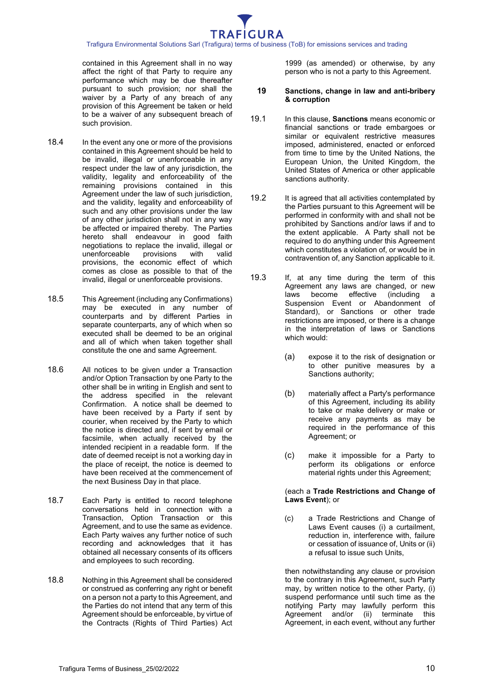contained in this Agreement shall in no way affect the right of that Party to require any performance which may be due thereafter pursuant to such provision; nor shall the waiver by a Party of any breach of any provision of this Agreement be taken or held to be a waiver of any subsequent breach of such provision.

- 18.4 In the event any one or more of the provisions contained in this Agreement should be held to be invalid, illegal or unenforceable in any respect under the law of any jurisdiction, the validity, legality and enforceability of the remaining provisions contained in this Agreement under the law of such jurisdiction, and the validity, legality and enforceability of such and any other provisions under the law of any other jurisdiction shall not in any way be affected or impaired thereby. The Parties hereto shall endeavour in good faith negotiations to replace the invalid, illegal or<br>unenforceable provisions with valid unenforceable provisions, the economic effect of which comes as close as possible to that of the invalid, illegal or unenforceable provisions.
- 18.5 This Agreement (including any Confirmations) may be executed in any number of counterparts and by different Parties in separate counterparts, any of which when so executed shall be deemed to be an original and all of which when taken together shall constitute the one and same Agreement.
- <span id="page-10-0"></span>18.6 All notices to be given under a Transaction and/or Option Transaction by one Party to the other shall be in writing in English and sent to the address specified in the relevant Confirmation. A notice shall be deemed to have been received by a Party if sent by courier, when received by the Party to which the notice is directed and, if sent by email or facsimile, when actually received by the intended recipient in a readable form. If the date of deemed receipt is not a working day in the place of receipt, the notice is deemed to have been received at the commencement of the next Business Day in that place.
- 18.7 Each Party is entitled to record telephone conversations held in connection with a Transaction, Option Transaction or this Agreement, and to use the same as evidence. Each Party waives any further notice of such recording and acknowledges that it has obtained all necessary consents of its officers and employees to such recording.
- 18.8 Nothing in this Agreement shall be considered or construed as conferring any right or benefit on a person not a party to this Agreement, and the Parties do not intend that any term of this Agreement should be enforceable, by virtue of the Contracts (Rights of Third Parties) Act

1999 (as amended) or otherwise, by any person who is not a party to this Agreement.

#### **19 Sanctions, change in law and anti-bribery & corruption**

- 19.1 In this clause, **Sanctions** means economic or financial sanctions or trade embargoes or similar or equivalent restrictive measures imposed, administered, enacted or enforced from time to time by the United Nations, the European Union, the United Kingdom, the United States of America or other applicable sanctions authority.
- 19.2 It is agreed that all activities contemplated by the Parties pursuant to this Agreement will be performed in conformity with and shall not be prohibited by Sanctions and/or laws if and to the extent applicable. A Party shall not be required to do anything under this Agreement which constitutes a violation of, or would be in contravention of, any Sanction applicable to it.
- 19.3 If, at any time during the term of this Agreement any laws are changed, or new<br>laws become effective (including a laws become effective Suspension Event or Abandonment of Standard), or Sanctions or other trade restrictions are imposed, or there is a change in the interpretation of laws or Sanctions which would:
	- (a) expose it to the risk of designation or to other punitive measures by a Sanctions authority;
	- (b) materially affect a Party's performance of this Agreement, including its ability to take or make delivery or make or receive any payments as may be required in the performance of this Agreement; or
	- (c) make it impossible for a Party to perform its obligations or enforce material rights under this Agreement;

(each a **Trade Restrictions and Change of Laws Event**); or

(c) a Trade Restrictions and Change of Laws Event causes (i) a curtailment, reduction in, interference with, failure or cessation of issuance of, Units or (ii) a refusal to issue such Units,

then notwithstanding any clause or provision to the contrary in this Agreement, such Party may, by written notice to the other Party, (i) suspend performance until such time as the notifying Party may lawfully perform this Agreement and/or (ii) terminate this Agreement, in each event, without any further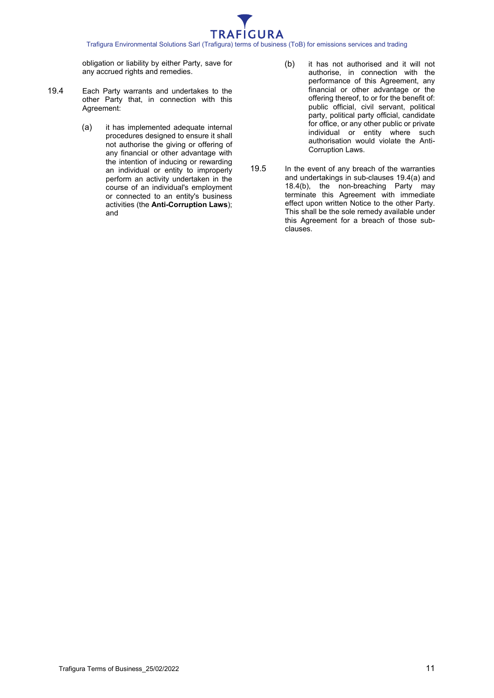

obligation or liability by either Party, save for any accrued rights and remedies.

- <span id="page-11-0"></span>19.4 Each Party warrants and undertakes to the other Party that, in connection with this Agreement:
	- (a) it has implemented adequate internal procedures designed to ensure it shall not authorise the giving or offering of any financial or other advantage with the intention of inducing or rewarding an individual or entity to improperly perform an activity undertaken in the course of an individual's employment or connected to an entity's business activities (the **Anti-Corruption Laws**); and
- (b) it has not authorised and it will not authorise, in connection with the performance of this Agreement, any financial or other advantage or the offering thereof, to or for the benefit of: public official, civil servant, political party, political party official, candidate for office, or any other public or private individual or entity where such authorisation would violate the Anti-Corruption Laws.
- 19.5 In the event of any breach of the warranties and undertakings in sub-clauses [19.4\(a\)](#page-11-0) and 18.4(b), the non-breaching Party may terminate this Agreement with immediate effect upon written Notice to the other Party. This shall be the sole remedy available under this Agreement for a breach of those subclauses.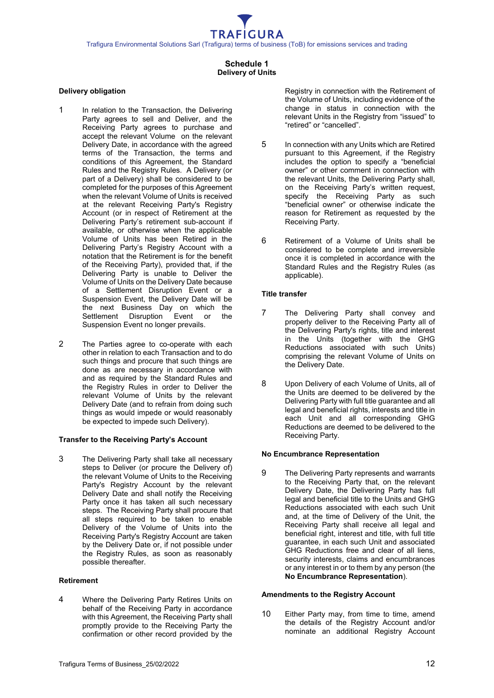# **Schedule 1 Delivery of Units**

#### <span id="page-12-0"></span>**Delivery obligation**

- 1 In relation to the Transaction, the Delivering Party agrees to sell and Deliver, and the Receiving Party agrees to purchase and accept the relevant Volume on the relevant Delivery Date, in accordance with the agreed terms of the Transaction, the terms and conditions of this Agreement, the Standard Rules and the Registry Rules. A Delivery (or part of a Delivery) shall be considered to be completed for the purposes of this Agreement when the relevant Volume of Units is received at the relevant Receiving Party's Registry Account (or in respect of Retirement at the Delivering Party's retirement sub-account if available, or otherwise when the applicable Volume of Units has been Retired in the Delivering Party's Registry Account with a notation that the Retirement is for the benefit of the Receiving Party), provided that, if the Delivering Party is unable to Deliver the Volume of Units on the Delivery Date because of a Settlement Disruption Event or a Suspension Event, the Delivery Date will be the next Business Day on which the Settlement Disruption Event or the Suspension Event no longer prevails.
- 2 The Parties agree to co-operate with each other in relation to each Transaction and to do such things and procure that such things are done as are necessary in accordance with and as required by the Standard Rules and the Registry Rules in order to Deliver the relevant Volume of Units by the relevant Delivery Date (and to refrain from doing such things as would impede or would reasonably be expected to impede such Delivery).

#### **Transfer to the Receiving Party's Account**

3 The Delivering Party shall take all necessary steps to Deliver (or procure the Delivery of) the relevant Volume of Units to the Receiving Party's Registry Account by the relevant Delivery Date and shall notify the Receiving Party once it has taken all such necessary steps. The Receiving Party shall procure that all steps required to be taken to enable Delivery of the Volume of Units into the Receiving Party's Registry Account are taken by the Delivery Date or, if not possible under the Registry Rules, as soon as reasonably possible thereafter.

#### **Retirement**

4 Where the Delivering Party Retires Units on behalf of the Receiving Party in accordance with this Agreement, the Receiving Party shall promptly provide to the Receiving Party the confirmation or other record provided by the Registry in connection with the Retirement of the Volume of Units, including evidence of the change in status in connection with the relevant Units in the Registry from "issued" to "retired" or "cancelled".

- 5 In connection with any Units which are Retired pursuant to this Agreement, if the Registry includes the option to specify a "beneficial owner" or other comment in connection with the relevant Units, the Delivering Party shall, on the Receiving Party's written request, specify the Receiving Party as such "beneficial owner" or otherwise indicate the reason for Retirement as requested by the Receiving Party.
- 6 Retirement of a Volume of Units shall be considered to be complete and irreversible once it is completed in accordance with the Standard Rules and the Registry Rules (as applicable).

#### **Title transfer**

- 7 The Delivering Party shall convey and properly deliver to the Receiving Party all of the Delivering Party's rights, title and interest in the Units (together with the GHG Reductions associated with such Units) comprising the relevant Volume of Units on the Delivery Date.
- 8 Upon Delivery of each Volume of Units, all of the Units are deemed to be delivered by the Delivering Party with full title guarantee and all legal and beneficial rights, interests and title in each Unit and all corresponding GHG Reductions are deemed to be delivered to the Receiving Party.

# **No Encumbrance Representation**

9 The Delivering Party represents and warrants to the Receiving Party that, on the relevant Delivery Date, the Delivering Party has full legal and beneficial title to the Units and GHG Reductions associated with each such Unit and, at the time of Delivery of the Unit, the Receiving Party shall receive all legal and beneficial right, interest and title, with full title guarantee, in each such Unit and associated GHG Reductions free and clear of all liens, security interests, claims and encumbrances or any interest in or to them by any person (the **No Encumbrance Representation**).

#### **Amendments to the Registry Account**

10 Either Party may, from time to time, amend the details of the Registry Account and/or nominate an additional Registry Account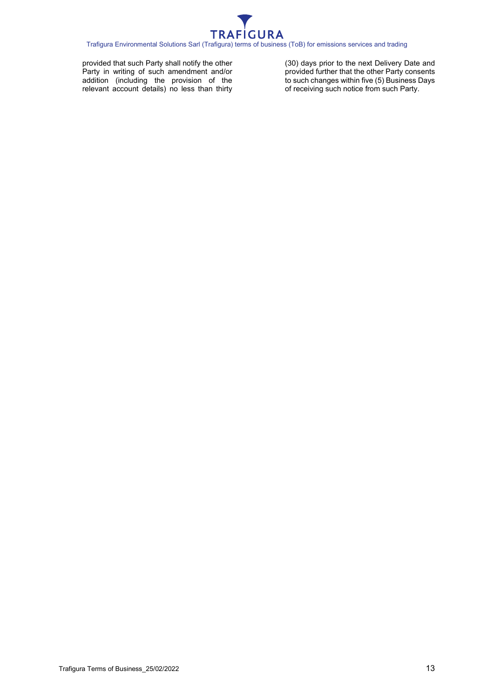

provided that such Party shall notify the other Party in writing of such amendment and/or addition (including the provision of the relevant account details) no less than thirty (30) days prior to the next Delivery Date and provided further that the other Party consents to such changes within five (5) Business Days of receiving such notice from such Party.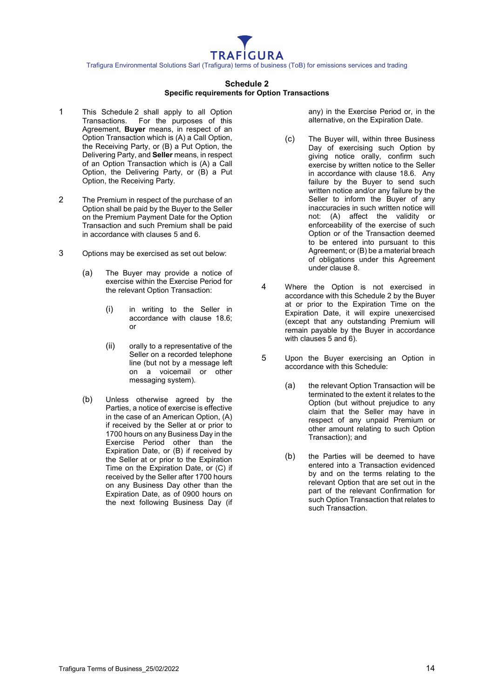#### **Schedule 2 Specific requirements for Option Transactions**

- <span id="page-14-0"></span>1 This [Schedule](#page-14-0) 2 shall apply to all Option Transactions. For the purposes of this Agreement, **Buyer** means, in respect of an Option Transaction which is (A) a Call Option, the Receiving Party, or (B) a Put Option, the Delivering Party, and **Seller** means, in respect of an Option Transaction which is (A) a Call Option, the Delivering Party, or (B) a Put Option, the Receiving Party.
- 2 The Premium in respect of the purchase of an Option shall be paid by the Buyer to the Seller on the Premium Payment Date for the Option Transaction and such Premium shall be paid in accordance with clauses [5](#page-6-0) and [6.](#page-6-1)
- 3 Options may be exercised as set out below:
	- (a) The Buyer may provide a notice of exercise within the Exercise Period for the relevant Option Transaction:
		- (i) in writing to the Seller in accordance with clause [18.6;](#page-10-0)  or
		- (ii) orally to a representative of the Seller on a recorded telephone line (but not by a message left on a voicemail or other messaging system).
	- (b) Unless otherwise agreed by the Parties, a notice of exercise is effective in the case of an American Option, (A) if received by the Seller at or prior to 1700 hours on any Business Day in the Exercise Period other than the Expiration Date, or (B) if received by the Seller at or prior to the Expiration Time on the Expiration Date, or (C) if received by the Seller after 1700 hours on any Business Day other than the Expiration Date, as of 0900 hours on the next following Business Day (if

any) in the Exercise Period or, in the alternative, on the Expiration Date.

- (c) The Buyer will, within three Business Day of exercising such Option by giving notice orally, confirm such exercise by written notice to the Seller in accordance with clause [18.6.](#page-10-0) Any failure by the Buyer to send such written notice and/or any failure by the Seller to inform the Buyer of any inaccuracies in such written notice will not: (A) affect the validity or enforceability of the exercise of such Option or of the Transaction deemed to be entered into pursuant to this Agreement; or (B) be a material breach of obligations under this Agreement under clause [8.](#page-7-0)
- 4 Where the Option is not exercised in accordance with this [Schedule](#page-14-0) 2 by the Buyer at or prior to the Expiration Time on the Expiration Date, it will expire unexercised (except that any outstanding Premium will remain payable by the Buyer in accordance with clauses [5](#page-6-0) and [6\)](#page-6-1).
- 5 Upon the Buyer exercising an Option in accordance with this Schedule:
	- (a) the relevant Option Transaction will be terminated to the extent it relates to the Option (but without prejudice to any claim that the Seller may have in respect of any unpaid Premium or other amount relating to such Option Transaction); and
	- (b) the Parties will be deemed to have entered into a Transaction evidenced by and on the terms relating to the relevant Option that are set out in the part of the relevant Confirmation for such Option Transaction that relates to such Transaction.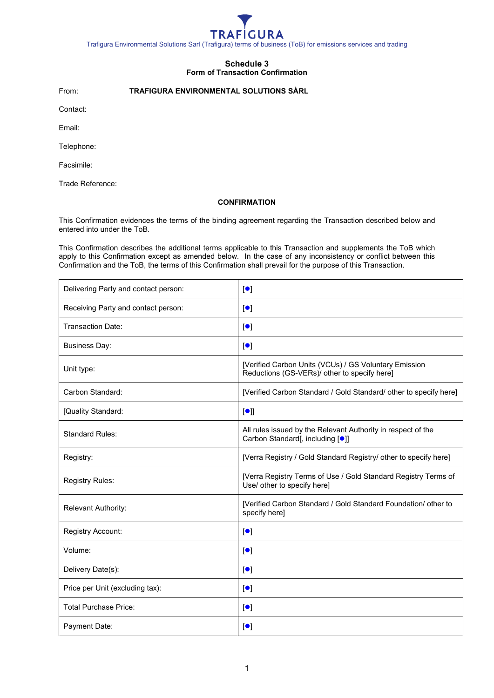

# **Schedule 3 Form of Transaction Confirmation**

<span id="page-15-0"></span>From: **TRAFIGURA ENVIRONMENTAL SOLUTIONS SÀRL**

Contact:

Email:

Telephone:

Facsimile:

Trade Reference:

#### **CONFIRMATION**

This Confirmation evidences the terms of the binding agreement regarding the Transaction described below and entered into under the ToB.

This Confirmation describes the additional terms applicable to this Transaction and supplements the ToB which apply to this Confirmation except as amended below. In the case of any inconsistency or conflict between this Confirmation and the ToB, the terms of this Confirmation shall prevail for the purpose of this Transaction.

| Delivering Party and contact person: | $\blacksquare$                                                                                                |
|--------------------------------------|---------------------------------------------------------------------------------------------------------------|
| Receiving Party and contact person:  | $\lbrack \bullet \rbrack$                                                                                     |
| <b>Transaction Date:</b>             | $\lbrack \bullet \rbrack$                                                                                     |
| <b>Business Day:</b>                 | $\lbrack \bullet \rbrack$                                                                                     |
| Unit type:                           | [Verified Carbon Units (VCUs) / GS Voluntary Emission<br>Reductions (GS-VERs)/ other to specify here]         |
| Carbon Standard:                     | [Verified Carbon Standard / Gold Standard/ other to specify here]                                             |
| [Quality Standard:                   | [•]                                                                                                           |
| <b>Standard Rules:</b>               | All rules issued by the Relevant Authority in respect of the<br>Carbon Standard[, including [ <sup>o</sup> ]] |
| Registry:                            | [Verra Registry / Gold Standard Registry/ other to specify here]                                              |
| <b>Registry Rules:</b>               | [Verra Registry Terms of Use / Gold Standard Registry Terms of<br>Use/ other to specify here]                 |
| <b>Relevant Authority:</b>           | [Verified Carbon Standard / Gold Standard Foundation/ other to<br>specify here]                               |
| Registry Account:                    | $\lbrack \bullet \rbrack$                                                                                     |
| Volume:                              | $\lbrack \bullet \rbrack$                                                                                     |
| Delivery Date(s):                    | $\lbrack \bullet \rbrack$                                                                                     |
| Price per Unit (excluding tax):      | $\lbrack \bullet \rbrack$                                                                                     |
| <b>Total Purchase Price:</b>         | $\lbrack \bullet \rbrack$                                                                                     |
| Payment Date:                        | $\lbrack \bullet \rbrack$                                                                                     |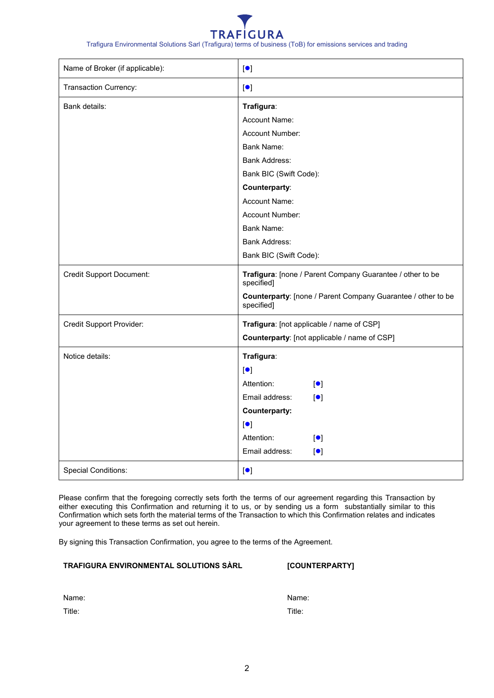

| Name of Broker (if applicable): | $\lbrack \bullet \rbrack$                                                  |
|---------------------------------|----------------------------------------------------------------------------|
| Transaction Currency:           | $\lbrack \bullet \rbrack$                                                  |
| Bank details:                   | Trafigura:                                                                 |
|                                 | Account Name:                                                              |
|                                 | <b>Account Number:</b>                                                     |
|                                 | Bank Name:                                                                 |
|                                 | Bank Address:                                                              |
|                                 | Bank BIC (Swift Code):                                                     |
|                                 | Counterparty:                                                              |
|                                 | Account Name:                                                              |
|                                 | Account Number:                                                            |
|                                 | <b>Bank Name:</b>                                                          |
|                                 | <b>Bank Address:</b>                                                       |
|                                 | Bank BIC (Swift Code):                                                     |
| <b>Credit Support Document:</b> | Trafigura: [none / Parent Company Guarantee / other to be<br>specified]    |
|                                 | Counterparty: [none / Parent Company Guarantee / other to be<br>specified] |
| <b>Credit Support Provider:</b> | Trafigura: [not applicable / name of CSP]                                  |
|                                 | Counterparty: [not applicable / name of CSP]                               |
| Notice details:                 | Trafigura:                                                                 |
|                                 | $\lbrack \bullet \rbrack$                                                  |
|                                 | Attention:<br>$\lceil \bullet \rceil$                                      |
|                                 | Email address:<br>$\lbrack \bullet \rbrack$                                |
|                                 | <b>Counterparty:</b>                                                       |
|                                 | $\lbrack \bullet \rbrack$                                                  |
|                                 | Attention:<br>$\lbrack \bullet \rbrack$                                    |
|                                 | Email address:<br>$\lbrack \bullet \rbrack$                                |
| <b>Special Conditions:</b>      | $\lbrack \bullet \rbrack$                                                  |

Please confirm that the foregoing correctly sets forth the terms of our agreement regarding this Transaction by either executing this Confirmation and returning it to us, or by sending us a form substantially similar to this Confirmation which sets forth the material terms of the Transaction to which this Confirmation relates and indicates your agreement to these terms as set out herein.

By signing this Transaction Confirmation, you agree to the terms of the Agreement.

# **TRAFIGURA ENVIRONMENTAL SOLUTIONS SÀRL [COUNTERPARTY]**

| vame |
|------|
|------|

Title:

Name: Title: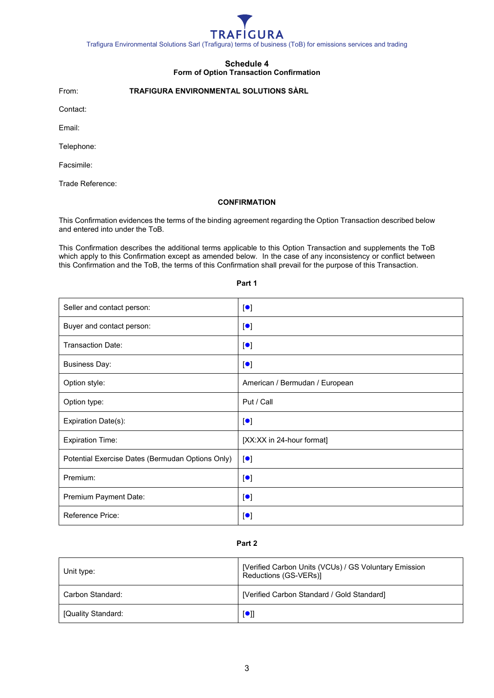

# **Schedule 4 Form of Option Transaction Confirmation**

<span id="page-17-0"></span>From: **TRAFIGURA ENVIRONMENTAL SOLUTIONS SÀRL**

Contact:

Email:

Telephone:

Facsimile:

Trade Reference:

#### **CONFIRMATION**

This Confirmation evidences the terms of the binding agreement regarding the Option Transaction described below and entered into under the ToB.

This Confirmation describes the additional terms applicable to this Option Transaction and supplements the ToB which apply to this Confirmation except as amended below. In the case of any inconsistency or conflict between this Confirmation and the ToB, the terms of this Confirmation shall prevail for the purpose of this Transaction.

| Seller and contact person:                       | $\lbrack \bullet \rbrack$      |
|--------------------------------------------------|--------------------------------|
| Buyer and contact person:                        | $\lbrack \bullet \rbrack$      |
| <b>Transaction Date:</b>                         | $\lceil \bullet \rceil$        |
| <b>Business Day:</b>                             | $\lbrack \bullet \rbrack$      |
| Option style:                                    | American / Bermudan / European |
| Option type:                                     | Put / Call                     |
| Expiration Date(s):                              | $\lbrack \bullet \rbrack$      |
| <b>Expiration Time:</b>                          | [XX:XX in 24-hour format]      |
| Potential Exercise Dates (Bermudan Options Only) | $\lbrack \bullet \rbrack$      |
| Premium:                                         | $\lceil \bullet \rceil$        |
| Premium Payment Date:                            | $\lbrack \bullet \rbrack$      |
| <b>Reference Price:</b>                          | $\lbrack \bullet \rbrack$      |

#### **Part 1**

# **Part 2**

| Unit type:         | [Verified Carbon Units (VCUs) / GS Voluntary Emission<br>Reductions (GS-VERs)] |
|--------------------|--------------------------------------------------------------------------------|
| Carbon Standard:   | [Verified Carbon Standard / Gold Standard]                                     |
| [Quality Standard: | $\blacksquare$                                                                 |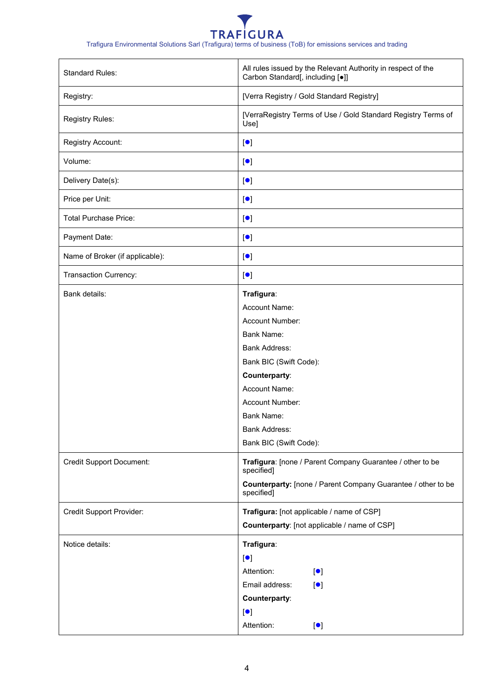Trafigura Environmental Solutions Sarl (Trafigura) terms of business (ToB) for emissions services and trading

| <b>Standard Rules:</b>                           | All rules issued by the Relevant Authority in respect of the<br>Carbon Standard[, including [•]]                                                                                                                                                                                                                                                                                                           |
|--------------------------------------------------|------------------------------------------------------------------------------------------------------------------------------------------------------------------------------------------------------------------------------------------------------------------------------------------------------------------------------------------------------------------------------------------------------------|
| Registry:                                        | [Verra Registry / Gold Standard Registry]                                                                                                                                                                                                                                                                                                                                                                  |
| Registry Rules:                                  | [VerraRegistry Terms of Use / Gold Standard Registry Terms of<br>Use]                                                                                                                                                                                                                                                                                                                                      |
| Registry Account:                                | $\lbrack \bullet \rbrack$                                                                                                                                                                                                                                                                                                                                                                                  |
| Volume:                                          | $\lbrack \bullet \rbrack$                                                                                                                                                                                                                                                                                                                                                                                  |
| Delivery Date(s):                                | $\lbrack \bullet \rbrack$                                                                                                                                                                                                                                                                                                                                                                                  |
| Price per Unit:                                  | $\lbrack \bullet \rbrack$                                                                                                                                                                                                                                                                                                                                                                                  |
| <b>Total Purchase Price:</b>                     | $\lbrack \bullet \rbrack$                                                                                                                                                                                                                                                                                                                                                                                  |
| Payment Date:                                    | $\lbrack \bullet \rbrack$                                                                                                                                                                                                                                                                                                                                                                                  |
| Name of Broker (if applicable):                  | $\lbrack \bullet \rbrack$                                                                                                                                                                                                                                                                                                                                                                                  |
| Transaction Currency:                            | $\lbrack \bullet \rbrack$                                                                                                                                                                                                                                                                                                                                                                                  |
| Bank details:<br><b>Credit Support Document:</b> | Trafigura:<br>Account Name:<br>Account Number:<br><b>Bank Name:</b><br><b>Bank Address:</b><br>Bank BIC (Swift Code):<br>Counterparty:<br>Account Name:<br>Account Number:<br><b>Bank Name:</b><br><b>Bank Address:</b><br>Bank BIC (Swift Code):<br>Trafigura: [none / Parent Company Guarantee / other to be<br>specified]<br>Counterparty: [none / Parent Company Guarantee / other to be<br>specified] |
| <b>Credit Support Provider:</b>                  | Trafigura: [not applicable / name of CSP]<br>Counterparty: [not applicable / name of CSP]                                                                                                                                                                                                                                                                                                                  |
| Notice details:                                  | Trafigura:<br>$\lbrack \bullet \rbrack$<br>Attention:<br>$\lbrack \bullet \rbrack$<br>Email address:<br>$\lbrack \bullet \rbrack$<br>Counterparty:<br>$\lbrack \bullet \rbrack$<br>Attention:<br>$\lbrack \bullet \rbrack$                                                                                                                                                                                 |